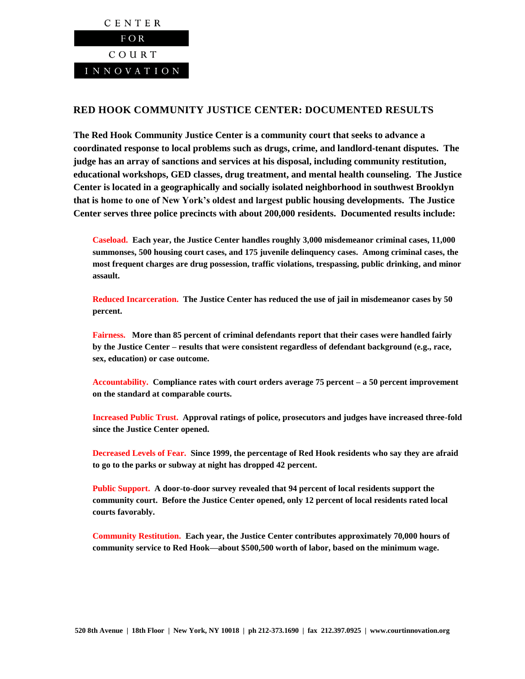

## **RED HOOK COMMUNITY JUSTICE CENTER: DOCUMENTED RESULTS**

**The Red Hook Community Justice Center is a community court that seeks to advance a coordinated response to local problems such as drugs, crime, and landlord-tenant disputes. The judge has an array of sanctions and services at his disposal, including community restitution, educational workshops, GED classes, drug treatment, and mental health counseling. The Justice Center is located in a geographically and socially isolated neighborhood in southwest Brooklyn that is home to one of New York's oldest and largest public housing developments. The Justice Center serves three police precincts with about 200,000 residents. Documented results include:**

**Caseload. Each year, the Justice Center handles roughly 3,000 misdemeanor criminal cases, 11,000 summonses, 500 housing court cases, and 175 juvenile delinquency cases. Among criminal cases, the most frequent charges are drug possession, traffic violations, trespassing, public drinking, and minor assault.**

**Reduced Incarceration. The Justice Center has reduced the use of jail in misdemeanor cases by 50 percent.**

**Fairness. More than 85 percent of criminal defendants report that their cases were handled fairly by the Justice Center – results that were consistent regardless of defendant background (e.g., race, sex, education) or case outcome.**

**Accountability. Compliance rates with court orders average 75 percent – a 50 percent improvement on the standard at comparable courts.**

**Increased Public Trust. Approval ratings of police, prosecutors and judges have increased three-fold since the Justice Center opened.**

**Decreased Levels of Fear. Since 1999, the percentage of Red Hook residents who say they are afraid to go to the parks or subway at night has dropped 42 percent.** 

**Public Support. A door-to-door survey revealed that 94 percent of local residents support the community court. Before the Justice Center opened, only 12 percent of local residents rated local courts favorably.** 

**Community Restitution. Each year, the Justice Center contributes approximately 70,000 hours of community service to Red Hook—about \$500,500 worth of labor, based on the minimum wage.**